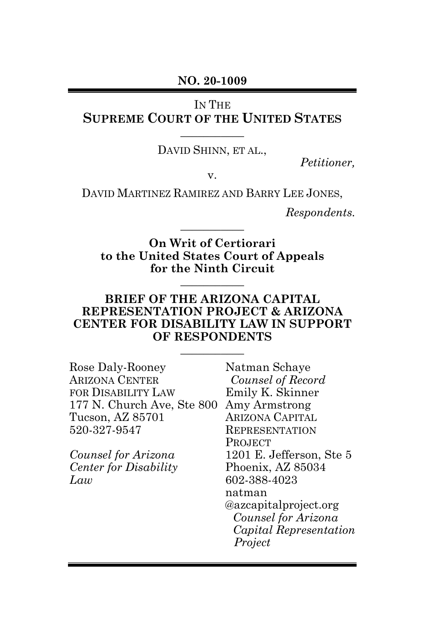#### **NO. 20-1009**

IN THE

## **SUPREME COURT OF THE UNITED STATES \_\_\_\_\_\_\_\_\_\_\_**

DAVID SHINN, ET AL.,

*Petitioner,*

v.

DAVID MARTINEZ RAMIREZ AND BARRY LEE JONES,

*Respondents.*

**On Writ of Certiorari to the United States Court of Appeals for the Ninth Circuit**

**\_\_\_\_\_\_\_\_\_\_\_**

**\_\_\_\_\_\_\_\_\_\_\_**

#### **BRIEF OF THE ARIZONA CAPITAL REPRESENTATION PROJECT & ARIZONA CENTER FOR DISABILITY LAW IN SUPPORT OF RESPONDENTS**

**\_\_\_\_\_\_\_\_\_\_\_**

| Rose Daly-Rooney<br><b>ARIZONA CENTER</b> | Natman Schaye<br>Counsel of Record  |
|-------------------------------------------|-------------------------------------|
| FOR DISABILITY LAW                        | Emily K. Skinner                    |
| 177 N. Church Ave, Ste 800                | Amy Armstrong                       |
| Tucson, AZ 85701                          | <b>ARIZONA CAPITAL</b>              |
| 520-327-9547                              | <b>REPRESENTATION</b>               |
|                                           | <b>PROJECT</b>                      |
| Counsel for Arizona                       | 1201 E. Jefferson, Ste 5            |
| <b>Center for Disability</b>              | Phoenix, AZ 85034                   |
| Law                                       | 602-388-4023                        |
|                                           | natman                              |
|                                           | <i><b>@azcapitalproject.org</b></i> |
|                                           | Counsel for Arizona                 |
|                                           | Capital Representation              |
|                                           | Project                             |
|                                           |                                     |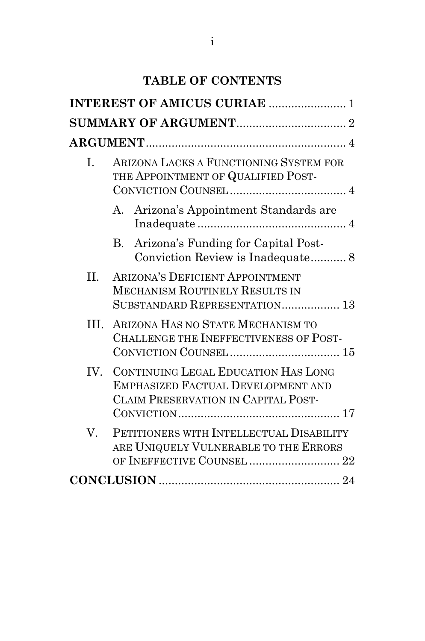# **TABLE OF CONTENTS**

|         | <b>INTEREST OF AMICUS CURIAE  1</b>                                                                                  |
|---------|----------------------------------------------------------------------------------------------------------------------|
|         |                                                                                                                      |
|         |                                                                                                                      |
| L.      | ARIZONA LACKS A FUNCTIONING SYSTEM FOR<br>THE APPOINTMENT OF QUALIFIED POST-                                         |
|         | A. Arizona's Appointment Standards are                                                                               |
|         | Arizona's Funding for Capital Post-<br>В.<br>Conviction Review is Inadequate 8                                       |
| $\Pi$ . | <b>ARIZONA'S DEFICIENT APPOINTMENT</b><br><b>MECHANISM ROUTINELY RESULTS IN</b><br>SUBSTANDARD REPRESENTATION 13     |
| III.    | ARIZONA HAS NO STATE MECHANISM TO<br>CHALLENGE THE INEFFECTIVENESS OF POST-                                          |
|         | IV. CONTINUING LEGAL EDUCATION HAS LONG<br>EMPHASIZED FACTUAL DEVELOPMENT AND<br>CLAIM PRESERVATION IN CAPITAL POST- |
| V.      | PETITIONERS WITH INTELLECTUAL DISABILITY<br>ARE UNIQUELY VULNERABLE TO THE ERRORS<br>OF INEFFECTIVE COUNSEL  22      |
|         |                                                                                                                      |
|         |                                                                                                                      |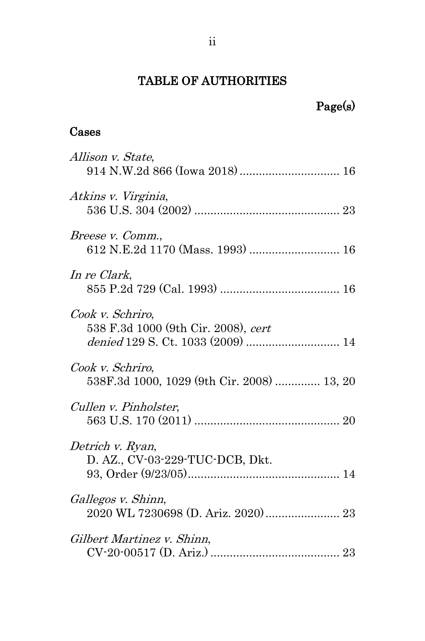## TABLE OF AUTHORITIES

# Page(s)

## Cases

| Allison v. State,<br>914 N.W.2d 866 (Iowa 2018) 16                                           |
|----------------------------------------------------------------------------------------------|
| Atkins v. Virginia,                                                                          |
| Breese v. Comm.,<br>612 N.E.2d 1170 (Mass. 1993)  16                                         |
| In re Clark,                                                                                 |
| Cook v. Schriro,<br>538 F.3d 1000 (9th Cir. 2008), cert<br>denied 129 S. Ct. 1033 (2009)  14 |
| Cook v. Schriro,<br>538F.3d 1000, 1029 (9th Cir. 2008)  13, 20                               |
| Cullen v. Pinholster,                                                                        |
| Detrich v. Ryan,<br>D. AZ., CV-03-229-TUC-DCB, Dkt.                                          |
| Gallegos v. Shinn,                                                                           |
| Gilbert Martinez v. Shinn,                                                                   |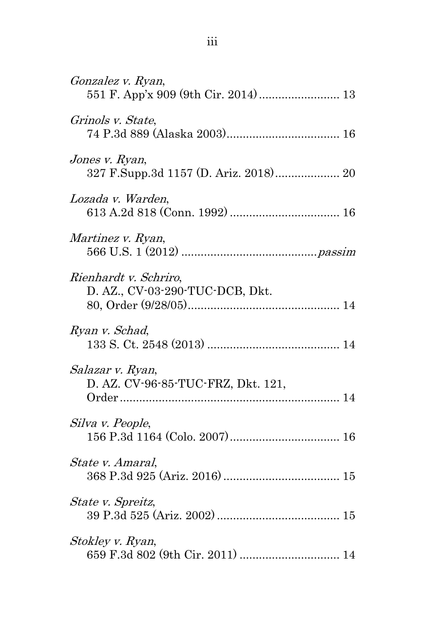| Gonzalez v. Ryan,                                        |
|----------------------------------------------------------|
| Grinols v. State,                                        |
| Jones v. Ryan,<br>327 F.Supp.3d 1157 (D. Ariz. 2018) 20  |
| Lozada v. Warden,                                        |
| Martinez v. Ryan,                                        |
| Rienhardt v. Schriro,<br>D. AZ., CV-03-290-TUC-DCB, Dkt. |
| Ryan v. Schad,                                           |
| Salazar v. Ryan,<br>D. AZ. CV-96-85-TUC-FRZ, Dkt. 121,   |
| Silva v. People,                                         |
| State v. Amaral,                                         |
| State v. Spreitz,                                        |
| Stokley v. Ryan,                                         |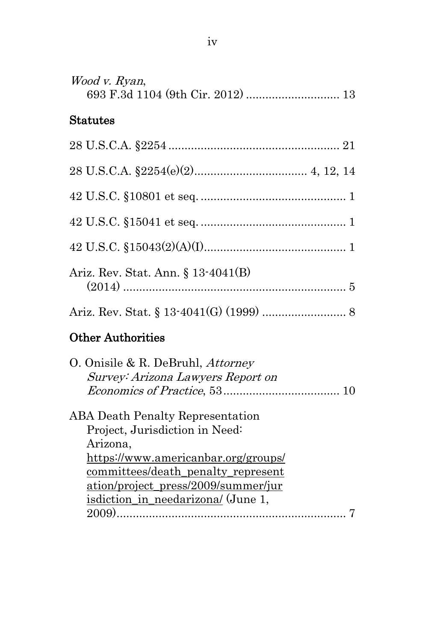| Wood v. Ryan,<br>693 F.3d 1104 (9th Cir. 2012)  13                                                                           |
|------------------------------------------------------------------------------------------------------------------------------|
| <b>Statutes</b>                                                                                                              |
|                                                                                                                              |
|                                                                                                                              |
|                                                                                                                              |
|                                                                                                                              |
|                                                                                                                              |
| Ariz. Rev. Stat. Ann. § 13-4041(B)                                                                                           |
|                                                                                                                              |
| <b>Other Authorities</b>                                                                                                     |
| O. Onisile & R. DeBruhl, Attorney<br>Survey: Arizona Lawyers Report on                                                       |
| <b>ABA Death Penalty Representation</b><br>Project, Jurisdiction in Need:<br>Arizona,<br>https://www.americanbar.org/groups/ |
| committees/death_penalty_represent<br>ation/project_press/2009/summer/jur<br><u>isdiction in needarizona/</u> (June 1,       |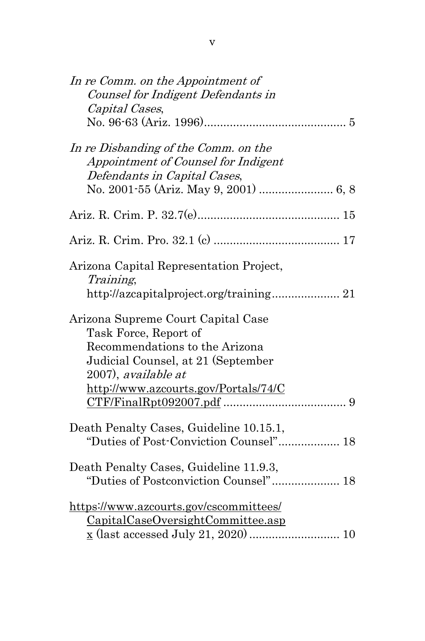| In re Comm. on the Appointment of                                                                                                                          |  |
|------------------------------------------------------------------------------------------------------------------------------------------------------------|--|
| Counsel for Indigent Defendants in                                                                                                                         |  |
| Capital Cases,                                                                                                                                             |  |
|                                                                                                                                                            |  |
| In re Disbanding of the Comm. on the<br>Appointment of Counsel for Indigent<br>Defendants in Capital Cases,                                                |  |
|                                                                                                                                                            |  |
|                                                                                                                                                            |  |
| Arizona Capital Representation Project,<br>Training,<br>http://azcapitalproject.org/training 21                                                            |  |
| Arizona Supreme Court Capital Case<br>Task Force, Report of<br>Recommendations to the Arizona<br>Judicial Counsel, at 21 (September<br>2007), available at |  |
| http://www.azcourts.gov/Portals/74/C                                                                                                                       |  |
| Death Penalty Cases, Guideline 10.15.1,<br>"Duties of Post-Conviction Counsel" 18                                                                          |  |
| Death Penalty Cases, Guideline 11.9.3,                                                                                                                     |  |
| https://www.azcourts.gov/cscommittees/<br>CapitalCaseOversightCommittee.asp                                                                                |  |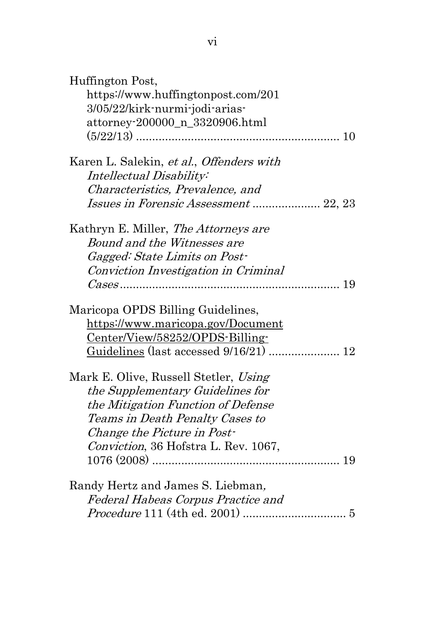| Huffington Post,<br>https://www.huffingtonpost.com/201<br>3/05/22/kirk-nurmi-jodi-arias-<br>attorney-200000_n_3320906.html |    |
|----------------------------------------------------------------------------------------------------------------------------|----|
|                                                                                                                            |    |
| Karen L. Salekin, et al., Offenders with                                                                                   |    |
| Intellectual Disability:                                                                                                   |    |
| Characteristics, Prevalence, and                                                                                           |    |
| Issues in Forensic Assessment  22, 23                                                                                      |    |
| Kathryn E. Miller, <i>The Attorneys are</i>                                                                                |    |
| Bound and the Witnesses are                                                                                                |    |
| Gagged: State Limits on Post-                                                                                              |    |
| Conviction Investigation in Criminal                                                                                       |    |
|                                                                                                                            | 19 |
| Maricopa OPDS Billing Guidelines,                                                                                          |    |
| https://www.maricopa.gov/Document                                                                                          |    |
| Center/View/58252/OPDS-Billing-                                                                                            |    |
| Guidelines (last accessed 9/16/21)  12                                                                                     |    |
| Mark E. Olive, Russell Stetler, Using                                                                                      |    |
| the Supplementary Guidelines for                                                                                           |    |
| the Mitigation Function of Defense                                                                                         |    |
| Teams in Death Penalty Cases to                                                                                            |    |
| Change the Picture in Post-                                                                                                |    |
| Conviction, 36 Hofstra L. Rev. 1067,                                                                                       |    |
|                                                                                                                            | 19 |
| Randy Hertz and James S. Liebman,                                                                                          |    |
| Federal Habeas Corpus Practice and                                                                                         |    |
|                                                                                                                            |    |
|                                                                                                                            |    |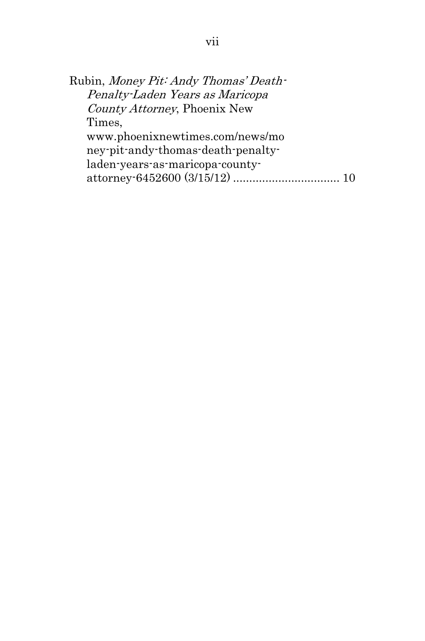```
Rubin, Money Pit: Andy Thomas' Death-
Penalty-Laden Years as Maricopa 
County Attorney, Phoenix New 
Times, 
www.phoenixnewtimes.com/news/mo
ney-pit-andy-thomas-death-penalty-
laden-years-as-maricopa-county-
attorney-6452600 (3/15/12) ................................. 10
```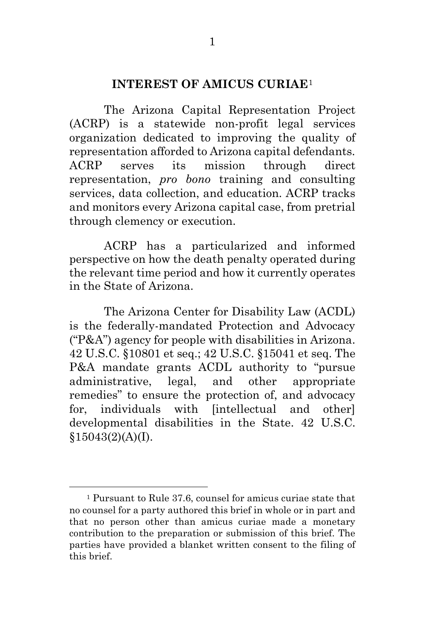#### **INTEREST OF AMICUS CURIAE**[1](#page-8-4)

<span id="page-8-0"></span>The Arizona Capital Representation Project (ACRP) is a statewide non-profit legal services organization dedicated to improving the quality of representation afforded to Arizona capital defendants. ACRP serves its mission through direct representation, *pro bono* training and consulting services, data collection, and education. ACRP tracks and monitors every Arizona capital case, from pretrial through clemency or execution.

ACRP has a particularized and informed perspective on how the death penalty operated during the relevant time period and how it currently operates in the State of Arizona.

<span id="page-8-2"></span><span id="page-8-1"></span>The Arizona Center for Disability Law (ACDL) is the federally-mandated Protection and Advocacy ("P&A") agency for people with disabilities in Arizona. 42 U.S.C. §10801 et seq.; 42 U.S.C. §15041 et seq. The P&A mandate grants ACDL authority to "pursue administrative, legal, and other appropriate remedies" to ensure the protection of, and advocacy for, individuals with [intellectual and other] developmental disabilities in the State. 42 U.S.C.  $$15043(2)(A)(I).$ 

<span id="page-8-4"></span><span id="page-8-3"></span><sup>1</sup> Pursuant to Rule 37.6, counsel for amicus curiae state that no counsel for a party authored this brief in whole or in part and that no person other than amicus curiae made a monetary contribution to the preparation or submission of this brief. The parties have provided a blanket written consent to the filing of this brief.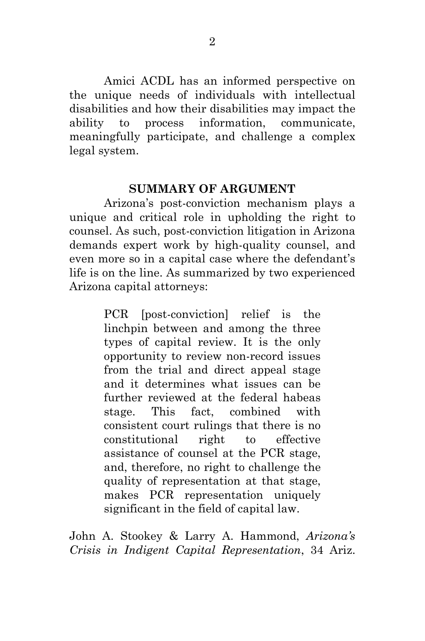Amici ACDL has an informed perspective on the unique needs of individuals with intellectual disabilities and how their disabilities may impact the ability to process information, communicate, meaningfully participate, and challenge a complex legal system.

#### **SUMMARY OF ARGUMENT**

<span id="page-9-0"></span>Arizona's post-conviction mechanism plays a unique and critical role in upholding the right to counsel. As such, post-conviction litigation in Arizona demands expert work by high-quality counsel, and even more so in a capital case where the defendant's life is on the line. As summarized by two experienced Arizona capital attorneys:

> PCR [post-conviction] relief is the linchpin between and among the three types of capital review. It is the only opportunity to review non-record issues from the trial and direct appeal stage and it determines what issues can be further reviewed at the federal habeas stage. This fact, combined with consistent court rulings that there is no constitutional right to effective assistance of counsel at the PCR stage, and, therefore, no right to challenge the quality of representation at that stage, makes PCR representation uniquely significant in the field of capital law.

John A. Stookey & Larry A. Hammond, *Arizona's Crisis in Indigent Capital Representation*, 34 Ariz.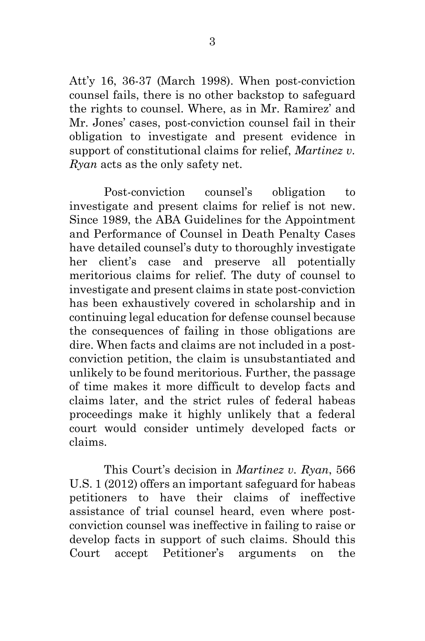Att'y 16, 36-37 (March 1998). When post-conviction counsel fails, there is no other backstop to safeguard the rights to counsel. Where, as in Mr. Ramirez' and Mr. Jones' cases, post-conviction counsel fail in their obligation to investigate and present evidence in support of constitutional claims for relief, *Martinez v. Ryan* acts as the only safety net.

<span id="page-10-0"></span>Post-conviction counsel's obligation to investigate and present claims for relief is not new. Since 1989, the ABA Guidelines for the Appointment and Performance of Counsel in Death Penalty Cases have detailed counsel's duty to thoroughly investigate her client's case and preserve all potentially meritorious claims for relief. The duty of counsel to investigate and present claims in state post-conviction has been exhaustively covered in scholarship and in continuing legal education for defense counsel because the consequences of failing in those obligations are dire. When facts and claims are not included in a postconviction petition, the claim is unsubstantiated and unlikely to be found meritorious. Further, the passage of time makes it more difficult to develop facts and claims later, and the strict rules of federal habeas proceedings make it highly unlikely that a federal court would consider untimely developed facts or claims.

This Court's decision in *Martinez v. Ryan*, 566 U.S. 1 (2012) offers an important safeguard for habeas petitioners to have their claims of ineffective assistance of trial counsel heard, even where postconviction counsel was ineffective in failing to raise or develop facts in support of such claims. Should this Court accept Petitioner's arguments on the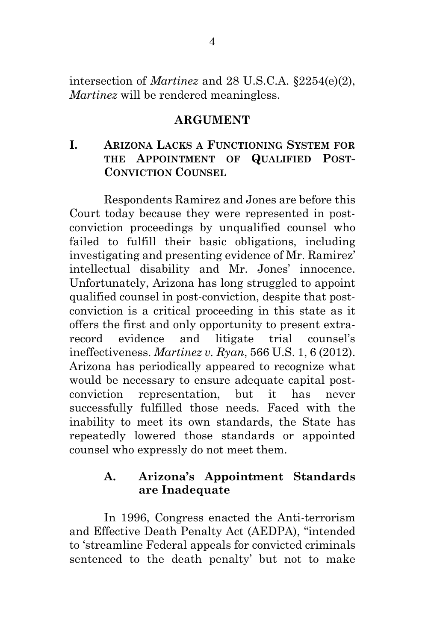<span id="page-11-0"></span>intersection of *Martinez* and 28 U.S.C.A. §2254(e)(2), *Martinez* will be rendered meaningless.

#### <span id="page-11-3"></span>**ARGUMENT**

#### <span id="page-11-1"></span>**I. ARIZONA LACKS A FUNCTIONING SYSTEM FOR THE APPOINTMENT OF QUALIFIED POST-CONVICTION COUNSEL**

Respondents Ramirez and Jones are before this Court today because they were represented in postconviction proceedings by unqualified counsel who failed to fulfill their basic obligations, including investigating and presenting evidence of Mr. Ramirez' intellectual disability and Mr. Jones' innocence. Unfortunately, Arizona has long struggled to appoint qualified counsel in post-conviction, despite that postconviction is a critical proceeding in this state as it offers the first and only opportunity to present extrarecord evidence and litigate trial counsel's ineffectiveness. *Martinez v. Ryan*, 566 U.S. 1, 6 (2012). Arizona has periodically appeared to recognize what would be necessary to ensure adequate capital postconviction representation, but it has never successfully fulfilled those needs. Faced with the inability to meet its own standards, the State has repeatedly lowered those standards or appointed counsel who expressly do not meet them.

#### <span id="page-11-2"></span>**A. Arizona's Appointment Standards are Inadequate**

In 1996, Congress enacted the Anti-terrorism and Effective Death Penalty Act (AEDPA), "intended to 'streamline Federal appeals for convicted criminals sentenced to the death penalty' but not to make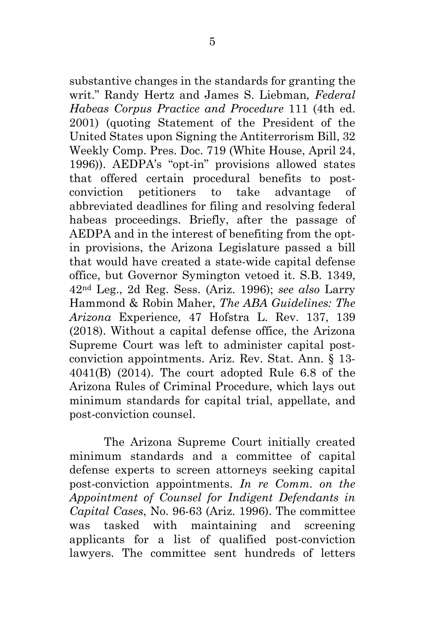<span id="page-12-2"></span>substantive changes in the standards for granting the writ." Randy Hertz and James S. Liebman*, Federal Habeas Corpus Practice and Procedure* 111 (4th ed. 2001) (quoting Statement of the President of the United States upon Signing the Antiterrorism Bill, 32 Weekly Comp. Pres. Doc. 719 (White House, April 24, 1996)). AEDPA's "opt-in" provisions allowed states that offered certain procedural benefits to postconviction petitioners to take advantage of abbreviated deadlines for filing and resolving federal habeas proceedings. Briefly, after the passage of AEDPA and in the interest of benefiting from the optin provisions, the Arizona Legislature passed a bill that would have created a state-wide capital defense office, but Governor Symington vetoed it. S.B. 1349, 42nd Leg., 2d Reg. Sess. (Ariz. 1996); *see also* Larry Hammond & Robin Maher, *The ABA Guidelines: The Arizona* Experience*,* 47 Hofstra L. Rev. 137, 139 (2018). Without a capital defense office, the Arizona Supreme Court was left to administer capital postconviction appointments. Ariz. Rev. Stat. Ann. § 13- 4041(B) (2014). The court adopted Rule 6.8 of the Arizona Rules of Criminal Procedure, which lays out minimum standards for capital trial, appellate, and post-conviction counsel.

<span id="page-12-1"></span><span id="page-12-0"></span>The Arizona Supreme Court initially created minimum standards and a committee of capital defense experts to screen attorneys seeking capital post-conviction appointments. *In re Comm. on the Appointment of Counsel for Indigent Defendants in Capital Cases*, No. 96-63 (Ariz. 1996). The committee was tasked with maintaining and screening applicants for a list of qualified post-conviction lawyers. The committee sent hundreds of letters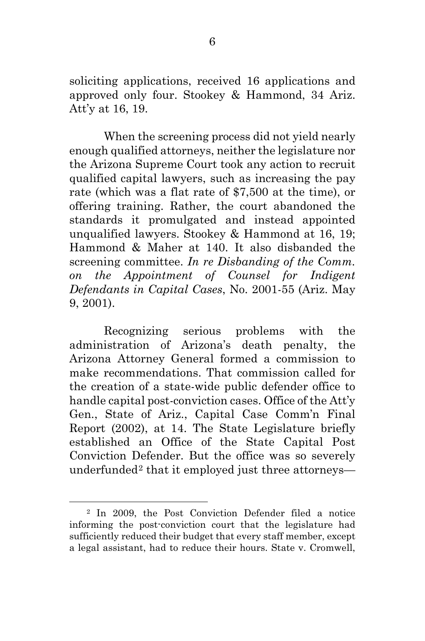soliciting applications, received 16 applications and approved only four. Stookey & Hammond, 34 Ariz. Att'y at 16, 19.

When the screening process did not yield nearly enough qualified attorneys, neither the legislature nor the Arizona Supreme Court took any action to recruit qualified capital lawyers, such as increasing the pay rate (which was a flat rate of \$7,500 at the time), or offering training. Rather, the court abandoned the standards it promulgated and instead appointed unqualified lawyers. Stookey & Hammond at 16, 19; Hammond & Maher at 140. It also disbanded the screening committee. *In re Disbanding of the Comm. on the Appointment of Counsel for Indigent Defendants in Capital Cases*, No. 2001-55 (Ariz. May 9, 2001).

<span id="page-13-0"></span>Recognizing serious problems with the administration of Arizona's death penalty, the Arizona Attorney General formed a commission to make recommendations. That commission called for the creation of a state-wide public defender office to handle capital post-conviction cases. Office of the Att'y Gen., State of Ariz., Capital Case Comm'n Final Report (2002), at 14. The State Legislature briefly established an Office of the State Capital Post Conviction Defender. But the office was so severely underfunded[2](#page-13-1) that it employed just three attorneys—

<span id="page-13-1"></span> <sup>2</sup> In 2009, the Post Conviction Defender filed a notice informing the post-conviction court that the legislature had sufficiently reduced their budget that every staff member, except a legal assistant, had to reduce their hours. State v. Cromwell,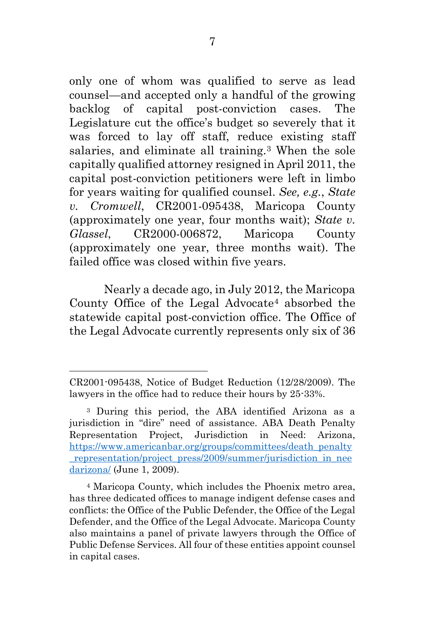only one of whom was qualified to serve as lead counsel—and accepted only a handful of the growing backlog of capital post-conviction cases. The Legislature cut the office's budget so severely that it was forced to lay off staff, reduce existing staff salaries, and eliminate all training.[3](#page-14-1) When the sole capitally qualified attorney resigned in April 2011, the capital post-conviction petitioners were left in limbo for years waiting for qualified counsel. *See, e.g.*, *State v. Cromwell*, CR2001-095438, Maricopa County (approximately one year, four months wait); *State v. Glassel*, CR2000-006872, Maricopa County (approximately one year, three months wait). The failed office was closed within five years.

Nearly a decade ago, in July 2012, the Maricopa County Office of the Legal Advocate<sup>[4](#page-14-2)</sup> absorbed the statewide capital post-conviction office. The Office of the Legal Advocate currently represents only six of 36

CR2001-095438, Notice of Budget Reduction (12/28/2009). The lawyers in the office had to reduce their hours by 25-33%.

<span id="page-14-1"></span><span id="page-14-0"></span><sup>3</sup> During this period, the ABA identified Arizona as a jurisdiction in "dire" need of assistance. ABA Death Penalty Representation Project, Jurisdiction in Need: Arizona, [https://www.americanbar.org/groups/committees/death\\_penalty](https://www.americanbar.org/groups/committees/death_penalty_representation/project_press/2009/summer/jurisdiction_in_needarizona/) representation/project\_press/2009/summer/jurisdiction\_in\_nee [darizona/](https://www.americanbar.org/groups/committees/death_penalty_representation/project_press/2009/summer/jurisdiction_in_needarizona/) (June 1, 2009).

<span id="page-14-2"></span><sup>4</sup> Maricopa County, which includes the Phoenix metro area, has three dedicated offices to manage indigent defense cases and conflicts: the Office of the Public Defender, the Office of the Legal Defender, and the Office of the Legal Advocate. Maricopa County also maintains a panel of private lawyers through the Office of Public Defense Services. All four of these entities appoint counsel in capital cases.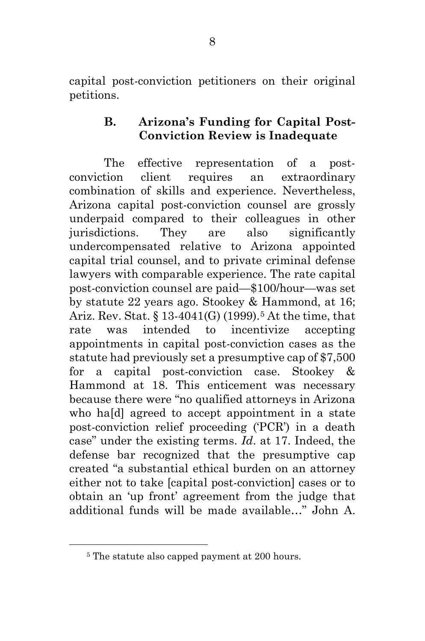capital post-conviction petitioners on their original petitions.

#### <span id="page-15-0"></span>**B. Arizona's Funding for Capital Post-Conviction Review is Inadequate**

<span id="page-15-1"></span>The effective representation of a postconviction client requires an extraordinary combination of skills and experience. Nevertheless, Arizona capital post-conviction counsel are grossly underpaid compared to their colleagues in other jurisdictions. They are also significantly undercompensated relative to Arizona appointed capital trial counsel, and to private criminal defense lawyers with comparable experience. The rate capital post-conviction counsel are paid—\$100/hour—was set by statute 22 years ago. Stookey & Hammond, at 16; Ariz. Rev. Stat.  $\S 13-4041(G)$  (1999).<sup>[5](#page-15-3)</sup> At the time, that rate was intended to incentivize accepting appointments in capital post-conviction cases as the statute had previously set a presumptive cap of \$7,500 for a capital post-conviction case. Stookey & Hammond at 18. This enticement was necessary because there were "no qualified attorneys in Arizona who ha[d] agreed to accept appointment in a state post-conviction relief proceeding ('PCR') in a death case" under the existing terms. *Id*. at 17. Indeed, the defense bar recognized that the presumptive cap created "a substantial ethical burden on an attorney either not to take [capital post-conviction] cases or to obtain an 'up front' agreement from the judge that additional funds will be made available…" John A.

<span id="page-15-3"></span><span id="page-15-2"></span><sup>&</sup>lt;sup>5</sup> The statute also capped payment at 200 hours.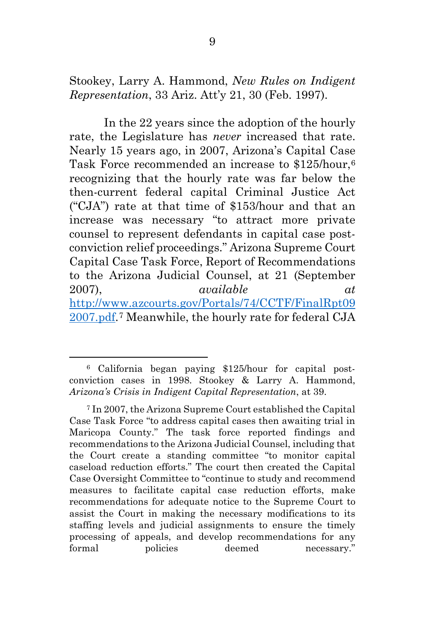Stookey, Larry A. Hammond, *New Rules on Indigent Representation*, 33 Ariz. Att'y 21, 30 (Feb. 1997).

<span id="page-16-0"></span>In the 22 years since the adoption of the hourly rate, the Legislature has *never* increased that rate. Nearly 15 years ago, in 2007, Arizona's Capital Case Task Force recommended an increase to \$125/hour,<sup>[6](#page-16-1)</sup> recognizing that the hourly rate was far below the then-current federal capital Criminal Justice Act ("CJA") rate at that time of \$153/hour and that an increase was necessary "to attract more private counsel to represent defendants in capital case postconviction relief proceedings." Arizona Supreme Court Capital Case Task Force, Report of Recommendations to the Arizona Judicial Counsel, at 21 (September 2007), *available at*  [http://www.azcourts.gov/Portals/74/CCTF/FinalRpt09](http://www.azcourts.gov/Portals/74/CCTF/FinalRpt092007.pdf) [2007.pdf.](http://www.azcourts.gov/Portals/74/CCTF/FinalRpt092007.pdf)[7](#page-16-2) Meanwhile, the hourly rate for federal CJA

<span id="page-16-1"></span><sup>6</sup> California began paying \$125/hour for capital postconviction cases in 1998. Stookey & Larry A. Hammond, *Arizona's Crisis in Indigent Capital Representation*, at 39.

<span id="page-16-2"></span><sup>7</sup> In 2007, the Arizona Supreme Court established the Capital Case Task Force "to address capital cases then awaiting trial in Maricopa County." The task force reported findings and recommendations to the Arizona Judicial Counsel, including that the Court create a standing committee "to monitor capital caseload reduction efforts." The court then created the Capital Case Oversight Committee to "continue to study and recommend measures to facilitate capital case reduction efforts, make recommendations for adequate notice to the Supreme Court to assist the Court in making the necessary modifications to its staffing levels and judicial assignments to ensure the timely processing of appeals, and develop recommendations for any formal policies deemed necessary."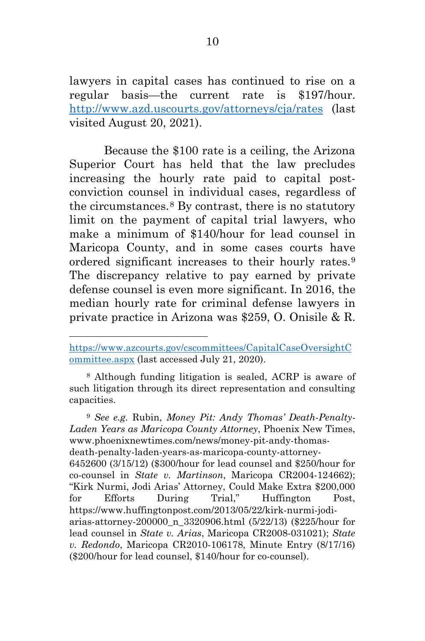lawyers in capital cases has continued to rise on a regular basis—the current rate is \$197/hour. <http://www.azd.uscourts.gov/attorneys/cja/rates> (last visited August 20, 2021).

Because the \$100 rate is a ceiling, the Arizona Superior Court has held that the law precludes increasing the hourly rate paid to capital postconviction counsel in individual cases, regardless of the circumstances.[8](#page-17-4) By contrast, there is no statutory limit on the payment of capital trial lawyers, who make a minimum of \$140/hour for lead counsel in Maricopa County, and in some cases courts have ordered significant increases to their hourly rates.[9](#page-17-5) The discrepancy relative to pay earned by private defense counsel is even more significant. In 2016, the median hourly rate for criminal defense lawyers in private practice in Arizona was \$259, O. Onisile & R.

<span id="page-17-0"></span> $\overline{a}$ 

<span id="page-17-4"></span><sup>8</sup> Although funding litigation is sealed, ACRP is aware of such litigation through its direct representation and consulting capacities.

<span id="page-17-5"></span><span id="page-17-3"></span><span id="page-17-2"></span><sup>9</sup> *See e.g.* Rubin, *Money Pit: Andy Thomas' Death-Penalty-Laden Years as Maricopa County Attorney*, Phoenix New Times, www.phoenixnewtimes.com/news/money-pit-andy-thomasdeath-penalty-laden-years-as-maricopa-county-attorney-6452600 (3/15/12) (\$300/hour for lead counsel and \$250/hour for co-counsel in *State v. Martinson*, Maricopa CR2004-124662); "Kirk Nurmi, Jodi Arias' Attorney, Could Make Extra \$200,000 for Efforts During Trial," Huffington Post, https://www.huffingtonpost.com/2013/05/22/kirk-nurmi-jodiarias-attorney-200000\_n\_3320906.html (5/22/13) (\$225/hour for lead counsel in *State v. Arias*, Maricopa CR2008-031021); *State v. Redondo*, Maricopa CR2010-106178, Minute Entry (8/17/16) (\$200/hour for lead counsel, \$140/hour for co-counsel).

<span id="page-17-1"></span>[https://www.azcourts.gov/cscommittees/CapitalCaseOversightC](https://www.azcourts.gov/cscommittees/CapitalCaseOversightCommittee.aspx) [ommittee.aspx](https://www.azcourts.gov/cscommittees/CapitalCaseOversightCommittee.aspx) (last accessed July 21, 2020).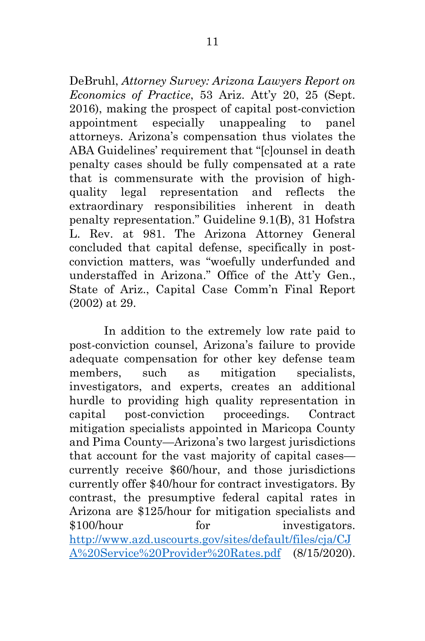DeBruhl, *Attorney Survey: Arizona Lawyers Report on Economics of Practice*, 53 Ariz. Att'y 20, 25 (Sept. 2016), making the prospect of capital post-conviction appointment especially unappealing to panel attorneys. Arizona's compensation thus violates the ABA Guidelines' requirement that "[c]ounsel in death penalty cases should be fully compensated at a rate that is commensurate with the provision of highquality legal representation and reflects the extraordinary responsibilities inherent in death penalty representation." Guideline 9.1(B), 31 Hofstra L. Rev. at 981. The Arizona Attorney General concluded that capital defense, specifically in postconviction matters, was "woefully underfunded and understaffed in Arizona." Office of the Att'y Gen., State of Ariz., Capital Case Comm'n Final Report (2002) at 29.

In addition to the extremely low rate paid to post-conviction counsel, Arizona's failure to provide adequate compensation for other key defense team members, such as mitigation specialists, investigators, and experts, creates an additional hurdle to providing high quality representation in capital post-conviction proceedings. Contract mitigation specialists appointed in Maricopa County and Pima County—Arizona's two largest jurisdictions that account for the vast majority of capital cases currently receive \$60/hour, and those jurisdictions currently offer \$40/hour for contract investigators. By contrast, the presumptive federal capital rates in Arizona are \$125/hour for mitigation specialists and \$100/hour for investigators. [http://www.azd.uscourts.gov/sites/default/files/cja/CJ](http://www.azd.uscourts.gov/sites/default/files/cja/CJA%20Service%20Provider%20Rates.pdf) [A%20Service%20Provider%20Rates.pdf](http://www.azd.uscourts.gov/sites/default/files/cja/CJA%20Service%20Provider%20Rates.pdf) (8/15/2020).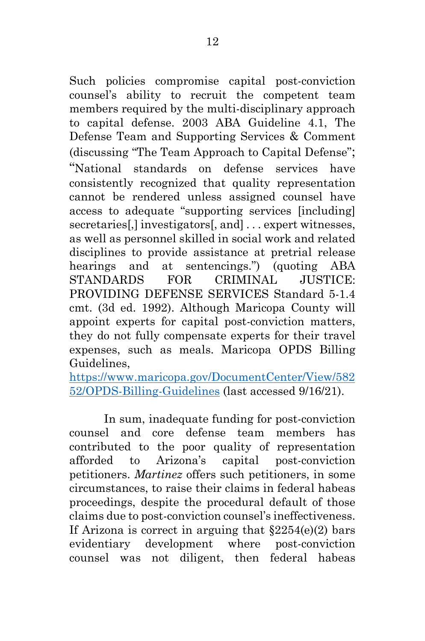Such policies compromise capital post-conviction counsel's ability to recruit the competent team members required by the multi-disciplinary approach to capital defense. 2003 ABA Guideline 4.1, The Defense Team and Supporting Services & Comment (discussing "The Team Approach to Capital Defense"; "National standards on defense services have consistently recognized that quality representation cannot be rendered unless assigned counsel have access to adequate "supporting services [including] secretaries[,] investigators[, and] . . . expert witnesses, as well as personnel skilled in social work and related disciplines to provide assistance at pretrial release hearings and at sentencings.") (quoting ABA STANDARDS FOR CRIMINAL JUSTICE: PROVIDING DEFENSE SERVICES Standard 5-1.4 cmt. (3d ed. 1992). Although Maricopa County will appoint experts for capital post-conviction matters, they do not fully compensate experts for their travel expenses, such as meals. Maricopa OPDS Billing Guidelines,

<span id="page-19-1"></span>[https://www.maricopa.gov/DocumentCenter/View/582](https://www.maricopa.gov/DocumentCenter/View/58252/OPDS-Billing-Guidelines) [52/OPDS-Billing-Guidelines](https://www.maricopa.gov/DocumentCenter/View/58252/OPDS-Billing-Guidelines) (last accessed 9/16/21).

<span id="page-19-0"></span>In sum, inadequate funding for post-conviction counsel and core defense team members has contributed to the poor quality of representation afforded to Arizona's capital post-conviction petitioners. *Martinez* offers such petitioners, in some circumstances, to raise their claims in federal habeas proceedings, despite the procedural default of those claims due to post-conviction counsel's ineffectiveness. If Arizona is correct in arguing that  $\S 2254(e)(2)$  bars evidentiary development where post-conviction counsel was not diligent, then federal habeas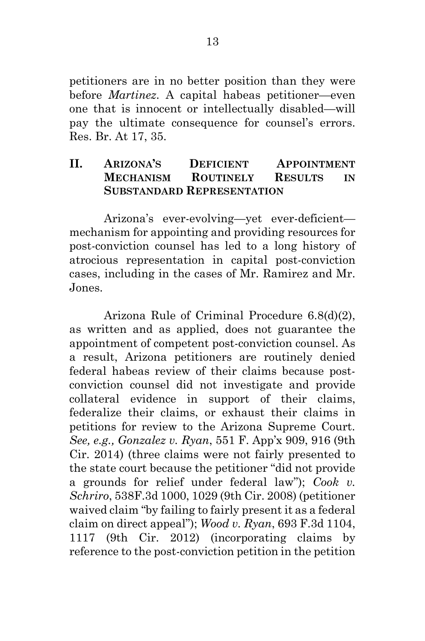petitioners are in no better position than they were before *Martinez*. A capital habeas petitioner—even one that is innocent or intellectually disabled—will pay the ultimate consequence for counsel's errors. Res. Br. At 17, 35.

#### <span id="page-20-0"></span>**II. ARIZONA'S DEFICIENT APPOINTMENT MECHANISM ROUTINELY RESULTS IN SUBSTANDARD REPRESENTATION**

Arizona's ever-evolving—yet ever-deficient mechanism for appointing and providing resources for post-conviction counsel has led to a long history of atrocious representation in capital post-conviction cases, including in the cases of Mr. Ramirez and Mr. Jones.

<span id="page-20-3"></span><span id="page-20-2"></span><span id="page-20-1"></span>Arizona Rule of Criminal Procedure 6.8(d)(2), as written and as applied, does not guarantee the appointment of competent post-conviction counsel. As a result, Arizona petitioners are routinely denied federal habeas review of their claims because postconviction counsel did not investigate and provide collateral evidence in support of their claims, federalize their claims, or exhaust their claims in petitions for review to the Arizona Supreme Court. *See, e.g., Gonzalez v. Ryan*, 551 F. App'x 909, 916 (9th Cir. 2014) (three claims were not fairly presented to the state court because the petitioner "did not provide a grounds for relief under federal law"); *Cook v. Schriro*, 538F.3d 1000, 1029 (9th Cir. 2008) (petitioner waived claim "by failing to fairly present it as a federal claim on direct appeal"); *Wood v. Ryan*, 693 F.3d 1104, 1117 (9th Cir. 2012) (incorporating claims by reference to the post-conviction petition in the petition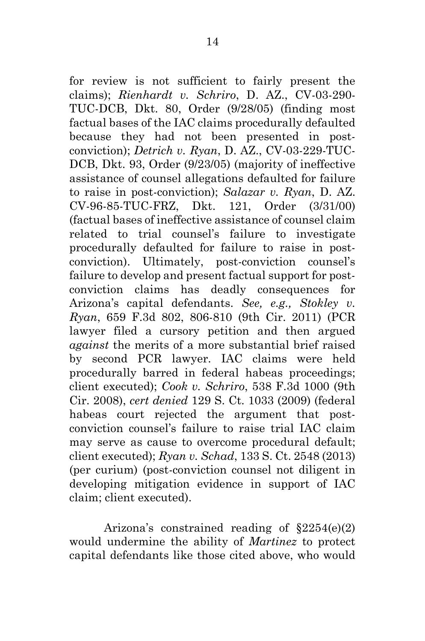<span id="page-21-5"></span><span id="page-21-4"></span><span id="page-21-2"></span><span id="page-21-1"></span>for review is not sufficient to fairly present the claims); *Rienhardt v. Schriro*, D. AZ., CV-03-290- TUC-DCB, Dkt. 80, Order (9/28/05) (finding most factual bases of the IAC claims procedurally defaulted because they had not been presented in postconviction); *Detrich v. Ryan*, D. AZ., CV-03-229-TUC-DCB, Dkt. 93, Order (9/23/05) (majority of ineffective assistance of counsel allegations defaulted for failure to raise in post-conviction); *Salazar v. Ryan*, D. AZ. CV-96-85-TUC-FRZ, Dkt. 121, Order (3/31/00) (factual bases of ineffective assistance of counsel claim related to trial counsel's failure to investigate procedurally defaulted for failure to raise in postconviction). Ultimately, post-conviction counsel's failure to develop and present factual support for postconviction claims has deadly consequences for Arizona's capital defendants. *See, e.g., Stokley v. Ryan*, 659 F.3d 802, 806-810 (9th Cir. 2011) (PCR lawyer filed a cursory petition and then argued *against* the merits of a more substantial brief raised by second PCR lawyer. IAC claims were held procedurally barred in federal habeas proceedings; client executed); *Cook v. Schriro*, 538 F.3d 1000 (9th Cir. 2008), *cert denied* 129 S. Ct. 1033 (2009) (federal habeas court rejected the argument that postconviction counsel's failure to raise trial IAC claim may serve as cause to overcome procedural default; client executed); *Ryan v. Schad*, 133 S. Ct. 2548 (2013) (per curium) (post-conviction counsel not diligent in developing mitigation evidence in support of IAC claim; client executed).

<span id="page-21-6"></span><span id="page-21-3"></span><span id="page-21-0"></span>Arizona's constrained reading of  $$2254(e)(2)$ would undermine the ability of *Martinez* to protect capital defendants like those cited above, who would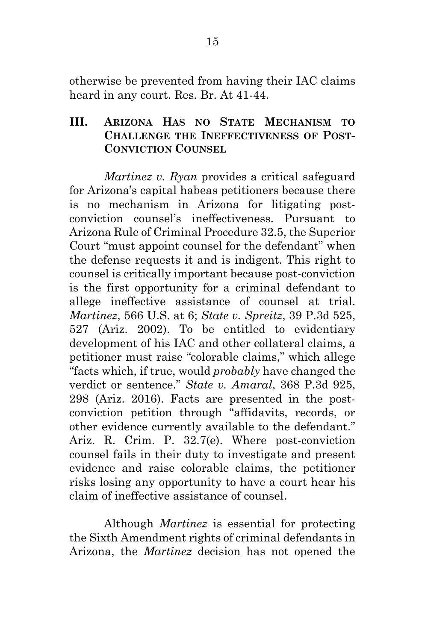otherwise be prevented from having their IAC claims heard in any court. Res. Br. At 41-44.

#### <span id="page-22-0"></span>**III. ARIZONA HAS NO STATE MECHANISM TO CHALLENGE THE INEFFECTIVENESS OF POST-CONVICTION COUNSEL**

<span id="page-22-2"></span>*Martinez v. Ryan* provides a critical safeguard for Arizona's capital habeas petitioners because there is no mechanism in Arizona for litigating postconviction counsel's ineffectiveness. Pursuant to Arizona Rule of Criminal Procedure 32.5, the Superior Court "must appoint counsel for the defendant" when the defense requests it and is indigent. This right to counsel is critically important because post-conviction is the first opportunity for a criminal defendant to allege ineffective assistance of counsel at trial. *Martinez*, 566 U.S. at 6; *State v. Spreitz*, 39 P.3d 525, 527 (Ariz. 2002). To be entitled to evidentiary development of his IAC and other collateral claims, a petitioner must raise "colorable claims," which allege "facts which, if true, would *probably* have changed the verdict or sentence." *State v. Amaral*, 368 P.3d 925, 298 (Ariz. 2016). Facts are presented in the postconviction petition through "affidavits, records, or other evidence currently available to the defendant." Ariz. R. Crim. P. 32.7(e). Where post-conviction counsel fails in their duty to investigate and present evidence and raise colorable claims, the petitioner risks losing any opportunity to have a court hear his claim of ineffective assistance of counsel.

<span id="page-22-3"></span><span id="page-22-1"></span>Although *Martinez* is essential for protecting the Sixth Amendment rights of criminal defendants in Arizona, the *Martinez* decision has not opened the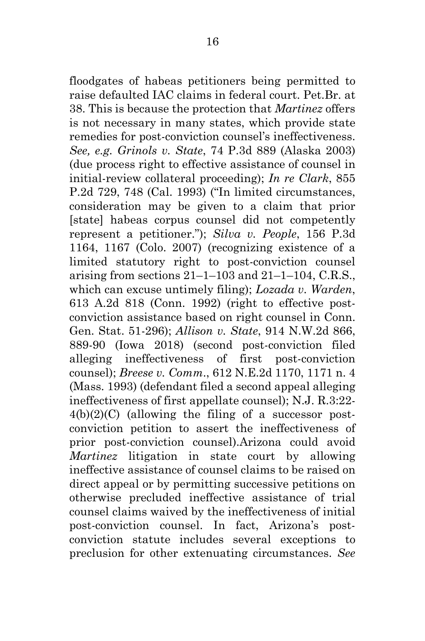<span id="page-23-5"></span><span id="page-23-4"></span><span id="page-23-3"></span><span id="page-23-2"></span><span id="page-23-1"></span><span id="page-23-0"></span>floodgates of habeas petitioners being permitted to raise defaulted IAC claims in federal court. Pet.Br. at 38. This is because the protection that *Martinez* offers is not necessary in many states, which provide state remedies for post-conviction counsel's ineffectiveness. *See, e.g. Grinols v. State*, 74 P.3d 889 (Alaska 2003) (due process right to effective assistance of counsel in initial-review collateral proceeding); *In re Clark*, 855 P.2d 729, 748 (Cal. 1993) ("In limited circumstances, consideration may be given to a claim that prior [state] habeas corpus counsel did not competently represent a petitioner."); *Silva v. People*, 156 P.3d 1164, 1167 (Colo. 2007) (recognizing existence of a limited statutory right to post-conviction counsel arising from sections  $21-1-103$  and  $21-1-104$ , C.R.S., which can excuse untimely filing); *Lozada v. Warden*, 613 A.2d 818 (Conn. 1992) (right to effective postconviction assistance based on right counsel in Conn. Gen. Stat. 51-296); *Allison v. State*, 914 N.W.2d 866, 889-90 (Iowa 2018) (second post-conviction filed alleging ineffectiveness of first post-conviction counsel); *Breese v. Comm*., 612 N.E.2d 1170, 1171 n. 4 (Mass. 1993) (defendant filed a second appeal alleging ineffectiveness of first appellate counsel); N.J. R.3:22-  $4(b)(2)(C)$  (allowing the filing of a successor postconviction petition to assert the ineffectiveness of prior post-conviction counsel).Arizona could avoid *Martinez* litigation in state court by allowing ineffective assistance of counsel claims to be raised on direct appeal or by permitting successive petitions on otherwise precluded ineffective assistance of trial counsel claims waived by the ineffectiveness of initial post-conviction counsel. In fact, Arizona's postconviction statute includes several exceptions to preclusion for other extenuating circumstances. *See*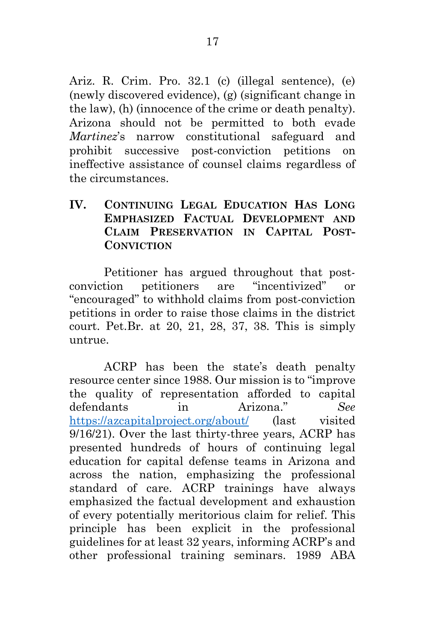<span id="page-24-1"></span>Ariz. R. Crim. Pro. 32.1 (c) (illegal sentence), (e) (newly discovered evidence), (g) (significant change in the law), (h) (innocence of the crime or death penalty). Arizona should not be permitted to both evade *Martinez*'s narrow constitutional safeguard and prohibit successive post-conviction petitions on ineffective assistance of counsel claims regardless of the circumstances.

#### <span id="page-24-0"></span>**IV. CONTINUING LEGAL EDUCATION HAS LONG EMPHASIZED FACTUAL DEVELOPMENT AND CLAIM PRESERVATION IN CAPITAL POST-CONVICTION**

Petitioner has argued throughout that postconviction petitioners are "incentivized" or "encouraged" to withhold claims from post-conviction petitions in order to raise those claims in the district court. Pet.Br. at 20, 21, 28, 37, 38. This is simply untrue.

ACRP has been the state's death penalty resource center since 1988. Our mission is to "improve the quality of representation afforded to capital defendants in Arizona." *See* <https://azcapitalproject.org/about/> (last visited 9/16/21). Over the last thirty-three years, ACRP has presented hundreds of hours of continuing legal education for capital defense teams in Arizona and across the nation, emphasizing the professional standard of care. ACRP trainings have always emphasized the factual development and exhaustion of every potentially meritorious claim for relief. This principle has been explicit in the professional guidelines for at least 32 years, informing ACRP's and other professional training seminars. 1989 ABA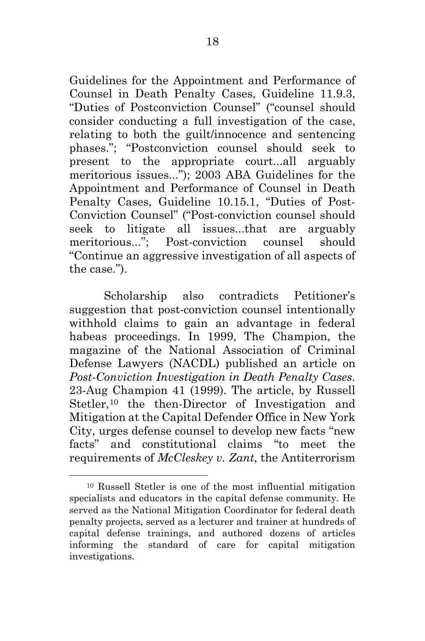<span id="page-25-1"></span><span id="page-25-0"></span>Guidelines for the Appointment and Performance of Counsel in Death Penalty Cases, Guideline 11.9.3, "Duties of Postconviction Counsel" ("counsel should consider conducting a full investigation of the case, relating to both the guilt/innocence and sentencing phases."; "Postconviction counsel should seek to present to the appropriate court...all arguably meritorious issues..."); 2003 ABA Guidelines for the Appointment and Performance of Counsel in Death Penalty Cases, Guideline 10.15.1, "Duties of Post-Conviction Counsel" ("Post-conviction counsel should seek to litigate all issues...that are arguably meritorious..."; Post-conviction counsel should "Continue an aggressive investigation of all aspects of the case.").

Scholarship also contradicts Petitioner's suggestion that post-conviction counsel intentionally withhold claims to gain an advantage in federal habeas proceedings. In 1999, The Champion, the magazine of the National Association of Criminal Defense Lawyers (NACDL) published an article on *Post-Conviction Investigation in Death Penalty Cases*. 23-Aug Champion 41 (1999). The article, by Russell Stetler,<sup>[10](#page-25-2)</sup> the then-Director of Investigation and Mitigation at the Capital Defender Office in New York City, urges defense counsel to develop new facts "new facts" and constitutional claims "to meet the requirements of *McCleskey v. Zant*, the Antiterrorism

<span id="page-25-2"></span><sup>10</sup> Russell Stetler is one of the most influential mitigation specialists and educators in the capital defense community. He served as the National Mitigation Coordinator for federal death penalty projects, served as a lecturer and trainer at hundreds of capital defense trainings, and authored dozens of articles informing the standard of care for capital mitigation investigations.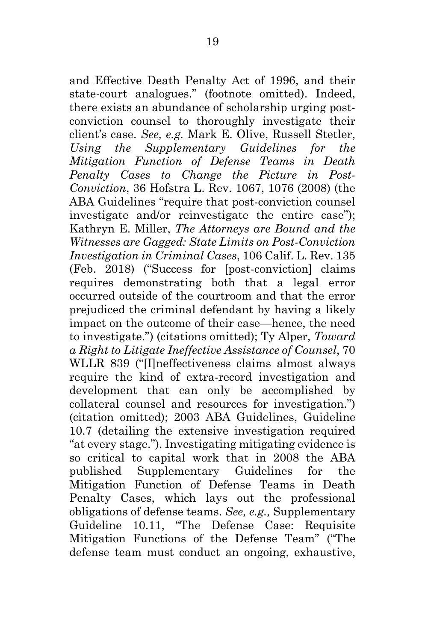<span id="page-26-1"></span><span id="page-26-0"></span>and Effective Death Penalty Act of 1996, and their state-court analogues." (footnote omitted). Indeed, there exists an abundance of scholarship urging postconviction counsel to thoroughly investigate their client's case. *See, e.g.* Mark E. Olive, Russell Stetler, *Using the Supplementary Guidelines for the Mitigation Function of Defense Teams in Death Penalty Cases to Change the Picture in Post-Conviction*, 36 Hofstra L. Rev. 1067, 1076 (2008) (the ABA Guidelines "require that post-conviction counsel investigate and/or reinvestigate the entire case"); Kathryn E. Miller, *The Attorneys are Bound and the Witnesses are Gagged: State Limits on Post-Conviction Investigation in Criminal Cases*, 106 Calif. L. Rev. 135 (Feb. 2018) ("Success for [post-conviction] claims requires demonstrating both that a legal error occurred outside of the courtroom and that the error prejudiced the criminal defendant by having a likely impact on the outcome of their case—hence, the need to investigate.") (citations omitted); Ty Alper, *Toward a Right to Litigate Ineffective Assistance of Counsel*, 70 WLLR 839 ("[I]neffectiveness claims almost always require the kind of extra-record investigation and development that can only be accomplished by collateral counsel and resources for investigation.") (citation omitted); 2003 ABA Guidelines, Guideline 10.7 (detailing the extensive investigation required "at every stage."). Investigating mitigating evidence is so critical to capital work that in 2008 the ABA published Supplementary Guidelines for the Mitigation Function of Defense Teams in Death Penalty Cases, which lays out the professional obligations of defense teams. *See, e.g.,* Supplementary Guideline 10.11, "The Defense Case: Requisite Mitigation Functions of the Defense Team" ("The defense team must conduct an ongoing, exhaustive,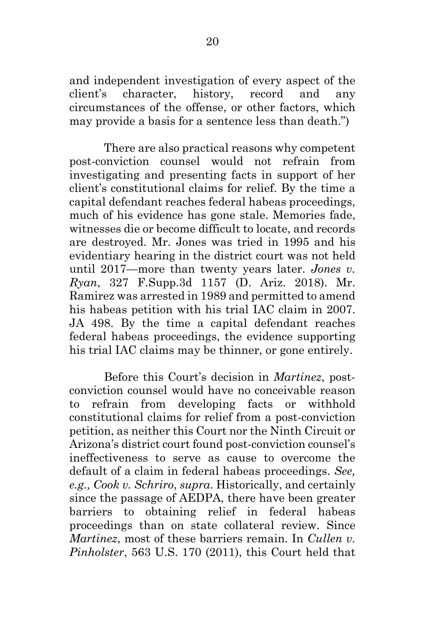and independent investigation of every aspect of the client's character, history, record and any circumstances of the offense, or other factors, which may provide a basis for a sentence less than death.")

There are also practical reasons why competent post-conviction counsel would not refrain from investigating and presenting facts in support of her client's constitutional claims for relief. By the time a capital defendant reaches federal habeas proceedings, much of his evidence has gone stale. Memories fade, witnesses die or become difficult to locate, and records are destroyed. Mr. Jones was tried in 1995 and his evidentiary hearing in the district court was not held until 2017—more than twenty years later. *Jones v. Ryan*, 327 F.Supp.3d 1157 (D. Ariz. 2018). Mr. Ramirez was arrested in 1989 and permitted to amend his habeas petition with his trial IAC claim in 2007. JA 498. By the time a capital defendant reaches federal habeas proceedings, the evidence supporting his trial IAC claims may be thinner, or gone entirely.

<span id="page-27-2"></span><span id="page-27-1"></span><span id="page-27-0"></span>Before this Court's decision in *Martinez*, postconviction counsel would have no conceivable reason to refrain from developing facts or withhold constitutional claims for relief from a post-conviction petition, as neither this Court nor the Ninth Circuit or Arizona's district court found post-conviction counsel's ineffectiveness to serve as cause to overcome the default of a claim in federal habeas proceedings. *See, e.g., Cook v. Schriro*, *supra*. Historically, and certainly since the passage of AEDPA, there have been greater barriers to obtaining relief in federal habeas proceedings than on state collateral review. Since *Martinez*, most of these barriers remain. In *Cullen v. Pinholster*, 563 U.S. 170 (2011), this Court held that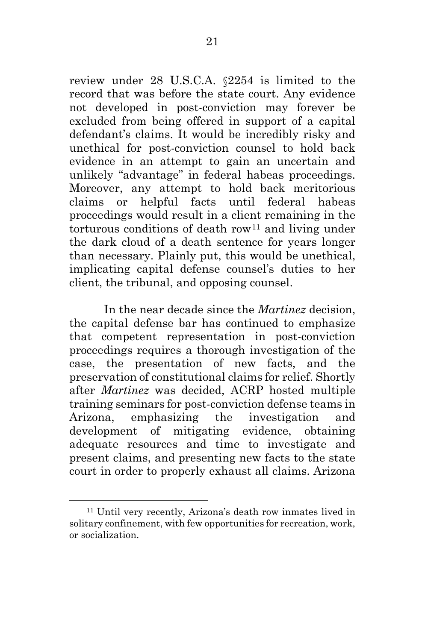<span id="page-28-0"></span>review under 28 U.S.C.A. §2254 is limited to the record that was before the state court. Any evidence not developed in post-conviction may forever be excluded from being offered in support of a capital defendant's claims. It would be incredibly risky and unethical for post-conviction counsel to hold back evidence in an attempt to gain an uncertain and unlikely "advantage" in federal habeas proceedings. Moreover, any attempt to hold back meritorious claims or helpful facts until federal habeas proceedings would result in a client remaining in the  $torturons$  conditions of death row<sup>[11](#page-28-2)</sup> and living under the dark cloud of a death sentence for years longer than necessary. Plainly put, this would be unethical, implicating capital defense counsel's duties to her client, the tribunal, and opposing counsel.

In the near decade since the *Martinez* decision, the capital defense bar has continued to emphasize that competent representation in post-conviction proceedings requires a thorough investigation of the case, the presentation of new facts, and the preservation of constitutional claims for relief. Shortly after *Martinez* was decided, ACRP hosted multiple training seminars for post-conviction defense teams in Arizona, emphasizing the investigation and development of mitigating evidence, obtaining adequate resources and time to investigate and present claims, and presenting new facts to the state court in order to properly exhaust all claims. Arizona

<span id="page-28-2"></span><span id="page-28-1"></span> <sup>11</sup> Until very recently, Arizona's death row inmates lived in solitary confinement, with few opportunities for recreation, work, or socialization.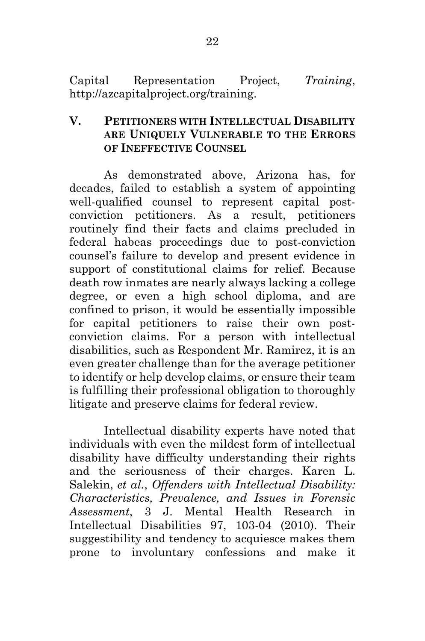Capital Representation Project, *Training*, http://azcapitalproject.org/training.

#### <span id="page-29-0"></span>**V. PETITIONERS WITH INTELLECTUAL DISABILITY ARE UNIQUELY VULNERABLE TO THE ERRORS OF INEFFECTIVE COUNSEL**

As demonstrated above, Arizona has, for decades, failed to establish a system of appointing well-qualified counsel to represent capital postconviction petitioners. As a result, petitioners routinely find their facts and claims precluded in federal habeas proceedings due to post-conviction counsel's failure to develop and present evidence in support of constitutional claims for relief. Because death row inmates are nearly always lacking a college degree, or even a high school diploma, and are confined to prison, it would be essentially impossible for capital petitioners to raise their own postconviction claims. For a person with intellectual disabilities, such as Respondent Mr. Ramirez, it is an even greater challenge than for the average petitioner to identify or help develop claims, or ensure their team is fulfilling their professional obligation to thoroughly litigate and preserve claims for federal review.

<span id="page-29-1"></span>Intellectual disability experts have noted that individuals with even the mildest form of intellectual disability have difficulty understanding their rights and the seriousness of their charges. Karen L. Salekin, *et al.*, *Offenders with Intellectual Disability: Characteristics, Prevalence, and Issues in Forensic Assessment*, 3 J. Mental Health Research in Intellectual Disabilities 97, 103-04 (2010). Their suggestibility and tendency to acquiesce makes them prone to involuntary confessions and make it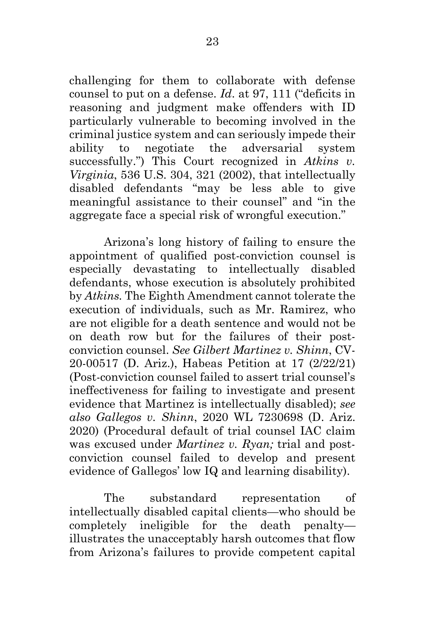<span id="page-30-3"></span><span id="page-30-0"></span>challenging for them to collaborate with defense counsel to put on a defense. *Id*. at 97, 111 ("deficits in reasoning and judgment make offenders with ID particularly vulnerable to becoming involved in the criminal justice system and can seriously impede their ability to negotiate the adversarial system successfully.") This Court recognized in *Atkins v. Virginia*, 536 U.S. 304, 321 (2002), that intellectually disabled defendants "may be less able to give meaningful assistance to their counsel" and "in the aggregate face a special risk of wrongful execution."

<span id="page-30-2"></span>Arizona's long history of failing to ensure the appointment of qualified post-conviction counsel is especially devastating to intellectually disabled defendants, whose execution is absolutely prohibited by *Atkins.* The Eighth Amendment cannot tolerate the execution of individuals, such as Mr. Ramirez, who are not eligible for a death sentence and would not be on death row but for the failures of their postconviction counsel. *See Gilbert Martinez v. Shinn*, CV-20-00517 (D. Ariz.), Habeas Petition at 17 (2/22/21) (Post-conviction counsel failed to assert trial counsel's ineffectiveness for failing to investigate and present evidence that Martinez is intellectually disabled); *see also Gallegos v. Shinn*, 2020 WL 7230698 (D. Ariz. 2020) (Procedural default of trial counsel IAC claim was excused under *Martinez v. Ryan;* trial and postconviction counsel failed to develop and present evidence of Gallegos' low IQ and learning disability).

<span id="page-30-1"></span>The substandard representation of intellectually disabled capital clients—who should be completely ineligible for the death penalty illustrates the unacceptably harsh outcomes that flow from Arizona's failures to provide competent capital